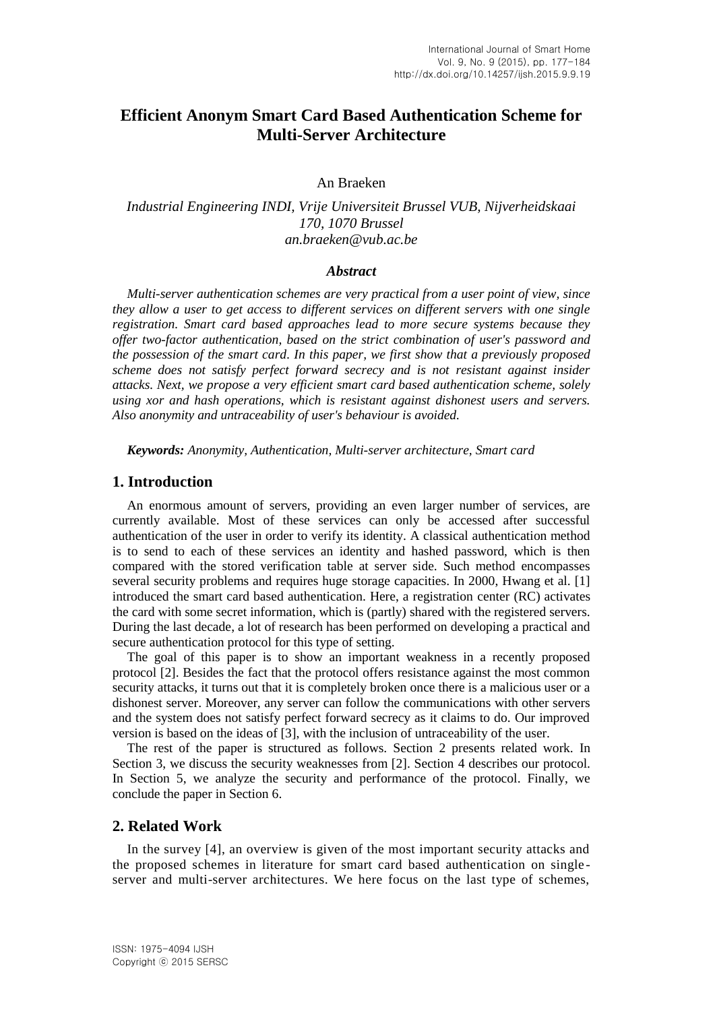# **Efficient Anonym Smart Card Based Authentication Scheme for Multi-Server Architecture**

An Braeken

# *Industrial Engineering INDI, Vrije Universiteit Brussel VUB, Nijverheidskaai 170, 1070 Brussel an.braeken@vub.ac.be*

#### *Abstract*

*Multi-server authentication schemes are very practical from a user point of view, since they allow a user to get access to different services on different servers with one single registration. Smart card based approaches lead to more secure systems because they offer two-factor authentication, based on the strict combination of user's password and the possession of the smart card. In this paper, we first show that a previously proposed scheme does not satisfy perfect forward secrecy and is not resistant against insider attacks. Next, we propose a very efficient smart card based authentication scheme, solely using xor and hash operations, which is resistant against dishonest users and servers. Also anonymity and untraceability of user's behaviour is avoided.*

*Keywords: Anonymity, Authentication, Multi-server architecture, Smart card*

#### **1. Introduction**

An enormous amount of servers, providing an even larger number of services, are currently available. Most of these services can only be accessed after successful authentication of the user in order to verify its identity. A classical authentication method is to send to each of these services an identity and hashed password, which is then compared with the stored verification table at server side. Such method encompasses several security problems and requires huge storage capacities. In 2000, Hwang et al. [1] introduced the smart card based authentication. Here, a registration center (RC) activates the card with some secret information, which is (partly) shared with the registered servers. During the last decade, a lot of research has been performed on developing a practical and secure authentication protocol for this type of setting.

The goal of this paper is to show an important weakness in a recently proposed protocol [2]. Besides the fact that the protocol offers resistance against the most common security attacks, it turns out that it is completely broken once there is a malicious user or a dishonest server. Moreover, any server can follow the communications with other servers and the system does not satisfy perfect forward secrecy as it claims to do. Our improved version is based on the ideas of [3], with the inclusion of untraceability of the user.

The rest of the paper is structured as follows. Section 2 presents related work. In Section 3, we discuss the security weaknesses from [2]. Section 4 describes our protocol. In Section 5, we analyze the security and performance of the protocol. Finally, we conclude the paper in Section 6.

#### **2. Related Work**

In the survey [4], an overview is given of the most important security attacks and the proposed schemes in literature for smart card based authentication on single server and multi-server architectures. We here focus on the last type of schemes,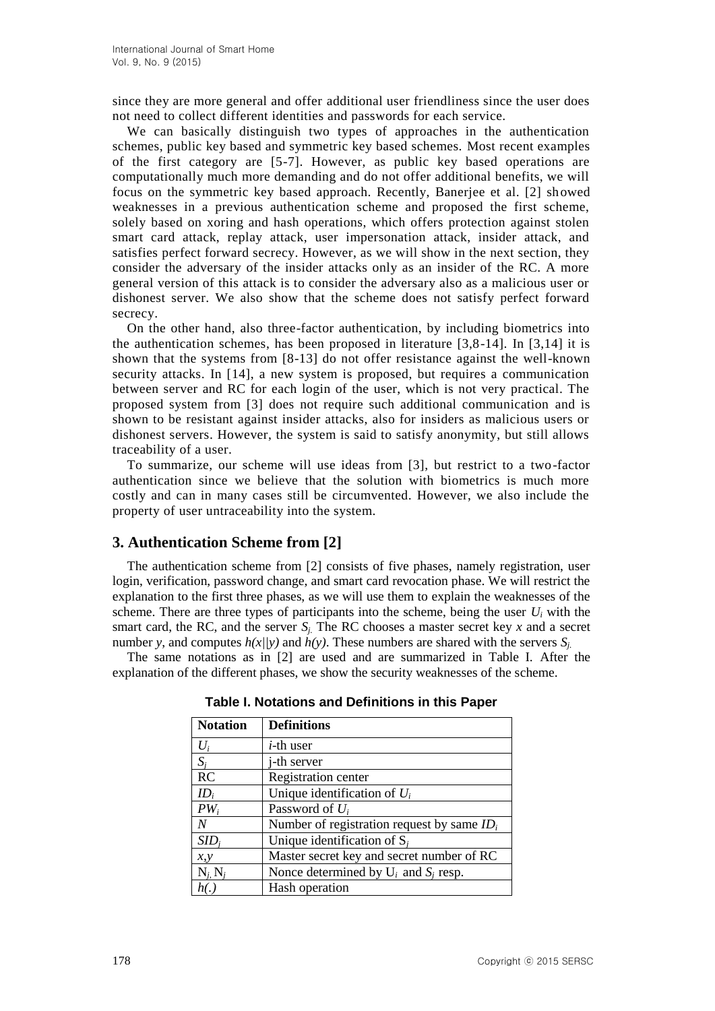since they are more general and offer additional user friendliness since the user does not need to collect different identities and passwords for each service.

We can basically distinguish two types of approaches in the authentication schemes, public key based and symmetric key based schemes. Most recent examples of the first category are [5-7]. However, as public key based operations are computationally much more demanding and do not offer additional benefits, we will focus on the symmetric key based approach. Recently, Banerjee et al. [2] showed weaknesses in a previous authentication scheme and proposed the first scheme, solely based on xoring and hash operations, which offers protection against stolen smart card attack, replay attack, user impersonation attack, insider attack, and satisfies perfect forward secrecy. However, as we will show in the next section, they consider the adversary of the insider attacks only as an insider of the RC. A more general version of this attack is to consider the adversary also as a malicious user or dishonest server. We also show that the scheme does not satisfy perfect forward secrecy.

On the other hand, also three-factor authentication, by including biometrics into the authentication schemes, has been proposed in literature [3,8-14]. In [3,14] it is shown that the systems from [8-13] do not offer resistance against the well-known security attacks. In [14], a new system is proposed, but requires a communication between server and RC for each login of the user, which is not very practical. The proposed system from [3] does not require such additional communication and is shown to be resistant against insider attacks, also for insiders as malicious users or dishonest servers. However, the system is said to satisfy anonymity, but still allows traceability of a user.

To summarize, our scheme will use ideas from [3], but restrict to a two-factor authentication since we believe that the solution with biometrics is much more costly and can in many cases still be circumvented. However, we also include the property of user untraceability into the system.

# **3. Authentication Scheme from [2]**

The authentication scheme from [2] consists of five phases, namely registration, user login, verification, password change, and smart card revocation phase. We will restrict the explanation to the first three phases, as we will use them to explain the weaknesses of the scheme. There are three types of participants into the scheme, being the user  $U_i$  with the smart card, the RC, and the server  $S_i$ . The RC chooses a master secret key  $x$  and a secret number *y*, and computes  $h(x|y)$  and  $h(y)$ . These numbers are shared with the servers  $S_i$ .

The same notations as in [2] are used and are summarized in Table I. After the explanation of the different phases, we show the security weaknesses of the scheme.

| <b>Notation</b> | <b>Definitions</b>                            |
|-----------------|-----------------------------------------------|
| $U_i$           | <i>i</i> -th user                             |
| $S_i$           | <i>i</i> -th server                           |
| RC              | Registration center                           |
| $ID_i$          | Unique identification of $U_i$                |
| $PW_i$          | Password of $U_i$                             |
| $\overline{N}$  | Number of registration request by same $ID_i$ |
| $SID_i$         | Unique identification of $S_i$                |
| x, y            | Master secret key and secret number of RC     |
| $N_i N_i$       | Nonce determined by $U_i$ and $S_i$ resp.     |
|                 | Hash operation                                |

**Table I. Notations and Definitions in this Paper**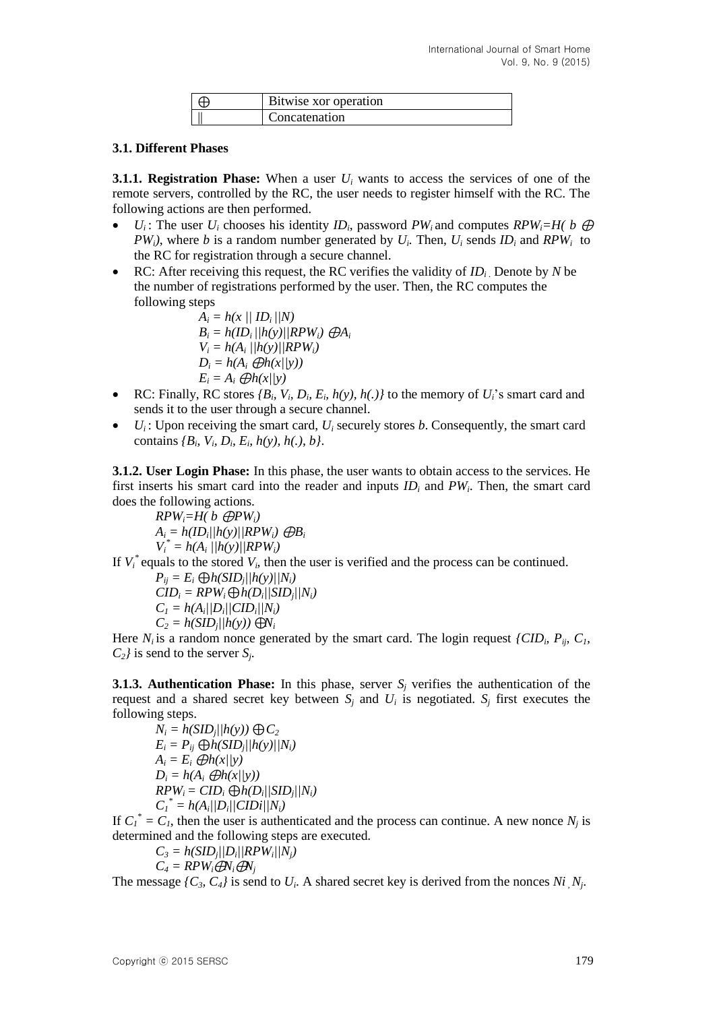| Bitwise xor operation |
|-----------------------|
| Concatenation         |

### **3.1. Different Phases**

**3.1.1. Registration Phase:** When a user *U<sup>i</sup>* wants to access the services of one of the remote servers, controlled by the RC, the user needs to register himself with the RC. The following actions are then performed.

- *U<sub>i</sub>*: The user *U<sub>i</sub>* chooses his identity *ID*<sub>*i*</sub>, password *PW*<sub>*i*</sub> and computes *RPW*<sub>*i*</sub>=H( *b*  $\oplus$ *PW*<sub>i</sub><sup>*)*</sup>, where *b* is a random number generated by  $U_i$ . Then,  $U_i$  sends  $ID_i$  and  $RPW_i$  to the RC for registration through a secure channel.
- RC: After receiving this request, the RC verifies the validity of *ID<sup>i</sup>* . Denote by *N* be the number of registrations performed by the user. Then, the RC computes the following steps

 $A_i = h(x) / |ID_i|/N$  $B_i = h(ID_i / |h(y)| / RPW_i) \oplus A_i$  $V_i = h(A_i)/h(y)/RPW_i$  $D_i = h(A_i \oplus h(x/|y))$  $E_i = A_i \bigoplus h(x/|y)$ 

- RC: Finally, RC stores  $\{B_i, V_i, D_i, E_i, h(y), h(.)\}$  to the memory of  $U_i$ 's smart card and sends it to the user through a secure channel.
- $\bullet$   $U_i$ : Upon receiving the smart card,  $U_i$  securely stores *b*. Consequently, the smart card contains  ${B_i \, V_i, D_i, E_i, h(y), h(.), b}.$

**3.1.2. User Login Phase:** In this phase, the user wants to obtain access to the services. He first inserts his smart card into the reader and inputs *ID<sup>i</sup>* and *PW<sup>i</sup>* . Then, the smart card does the following actions.

 $RPW_i = H(b \oplus PW_i)$  $A_i = h(ID_i / \frac{h(y)}{RPW_i} \oplus B_i$  $V_i^* = h(A_i)/h(y)/|RPW_i$ 

If  $V_i^*$  equals to the stored  $V_i$ , then the user is verified and the process can be continued.

$$
P_{ij} = E_i \bigoplus h(SID_j/|h(y)/|N_i)
$$
  
\n
$$
CID_i = RPW_i \bigoplus h(D_i/|SID_j|/N_i)
$$
  
\n
$$
C_1 = h(A_i/|D_i|/CID_i|/N_i)
$$
  
\n
$$
C_2 = h(SID_j/|h(y)) \bigoplus V_i
$$

Here  $N_i$  is a random nonce generated by the smart card. The login request *{CID<sub>i</sub>*,  $P_{ij}$ ,  $C_I$ ,  $C_2$ *}* is send to the server *S<sub>j</sub>*.

**3.1.3. Authentication Phase:** In this phase, server  $S_i$  verifies the authentication of the request and a shared secret key between  $S_j$  and  $U_i$  is negotiated.  $S_j$  first executes the following steps.

 $N_i = h(SID_j|/h(y)) \bigoplus C_2$  $E_i = P_{ij} \bigoplus h(SID_j/|h(y)/|N_i)$  $A_i = E_i \bigoplus h(x|y)$  $D_i = h(A_i \oplus h(x|y))$  $RPW_i = CID_i \bigoplus h(D_i/|SID_j|/N_i)$  $C_I^* = h(A_i||D_i||CID_i||N_i)$ 

If  $C_1^* = C_1$ , then the user is authenticated and the process can continue. A new nonce  $N_j$  is determined and the following steps are executed.

 $C_3 = h(SID_j||D_i||RPW_i||N_j)$ 

$$
C_4 = RPW_i \bigoplus Y_i \bigoplus Y_j
$$

The message  $\{C_3, C_4\}$  is send to  $U_i$ . A shared secret key is derived from the nonces  $Ni$ ,  $N_j$ .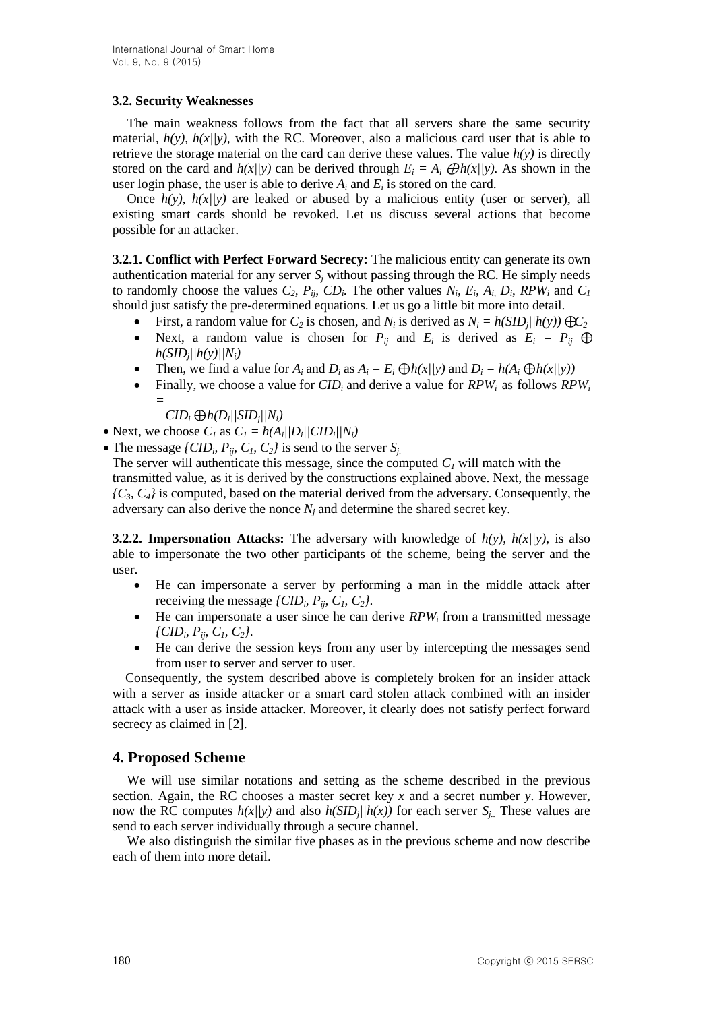## **3.2. Security Weaknesses**

The main weakness follows from the fact that all servers share the same security material,  $h(y)$ ,  $h(x)/y$ , with the RC. Moreover, also a malicious card user that is able to retrieve the storage material on the card can derive these values. The value  $h(v)$  is directly stored on the card and  $h(x|y)$  can be derived through  $E_i = A_i \bigoplus h(x|y)$ . As shown in the user login phase, the user is able to derive  $A_i$  and  $E_i$  is stored on the card.

Once  $h(y)$ ,  $h(x)/y$  are leaked or abused by a malicious entity (user or server), all existing smart cards should be revoked. Let us discuss several actions that become possible for an attacker.

**3.2.1. Conflict with Perfect Forward Secrecy:** The malicious entity can generate its own authentication material for any server  $S_i$  without passing through the RC. He simply needs to randomly choose the values  $C_2$ ,  $P_{ip}$ ,  $CD_i$ . The other values  $N_i$ ,  $E_i$ ,  $A_i$ ,  $D_i$ ,  $RPW_i$  and  $C_i$ should just satisfy the pre-determined equations. Let us go a little bit more into detail.

- First, a random value for  $C_2$  is chosen, and  $N_i$  is derived as  $N_i = h(SID_j||h(y)) \bigoplus C_2$
- Next, a random value is chosen for  $P_{ij}$  and  $E_i$  is derived as  $E_i = P_{ij} \oplus$  $h(SID_j|/h(y)/|N_i)$
- Then, we find a value for  $A_i$  and  $D_i$  as  $A_i = E_i \bigoplus h(x/|y)$  and  $D_i = h(A_i \bigoplus h(x/|y))$
- Finally, we choose a value for *CID<sup>i</sup>* and derive a value for *RPWi* as follows *RPW<sup>i</sup> =*

 $CID_i \bigoplus h(D_i // SID_j // N_i)$ 

- Next, we choose  $C_I$  as  $C_I = h(A_i/|D_i|/CID_i|/N_i)$
- The message *{CID<sub>i</sub>*,  $P_{ij}$ ,  $C_1$ ,  $C_2$ *}* is send to the server  $S_j$ .

The server will authenticate this message, since the computed  $C_I$  will match with the transmitted value, as it is derived by the constructions explained above. Next, the message  ${C_3, C_4}$  is computed, based on the material derived from the adversary. Consequently, the adversary can also derive the nonce  $N_i$  and determine the shared secret key.

**3.2.2. Impersonation Attacks:** The adversary with knowledge of  $h(y)$ ,  $h(x)/y$ , is also able to impersonate the two other participants of the scheme, being the server and the user.

- He can impersonate a server by performing a man in the middle attack after receiving the message  $\{CID_i, P_{ij}, C_1, C_2\}$ .
- He can impersonate a user since he can derive *RPW<sup>i</sup>* from a transmitted message *{CID<sup>i</sup> , Pij, C1, C2}*.
- He can derive the session keys from any user by intercepting the messages send from user to server and server to user.

Consequently, the system described above is completely broken for an insider attack with a server as inside attacker or a smart card stolen attack combined with an insider attack with a user as inside attacker. Moreover, it clearly does not satisfy perfect forward secrecy as claimed in [2].

# **4. Proposed Scheme**

We will use similar notations and setting as the scheme described in the previous section. Again, the RC chooses a master secret key *x* and a secret number *y*. However, now the RC computes  $h(x|y)$  and also  $h(SID_j/|h(x))$  for each server  $S_j$ . These values are send to each server individually through a secure channel.

We also distinguish the similar five phases as in the previous scheme and now describe each of them into more detail.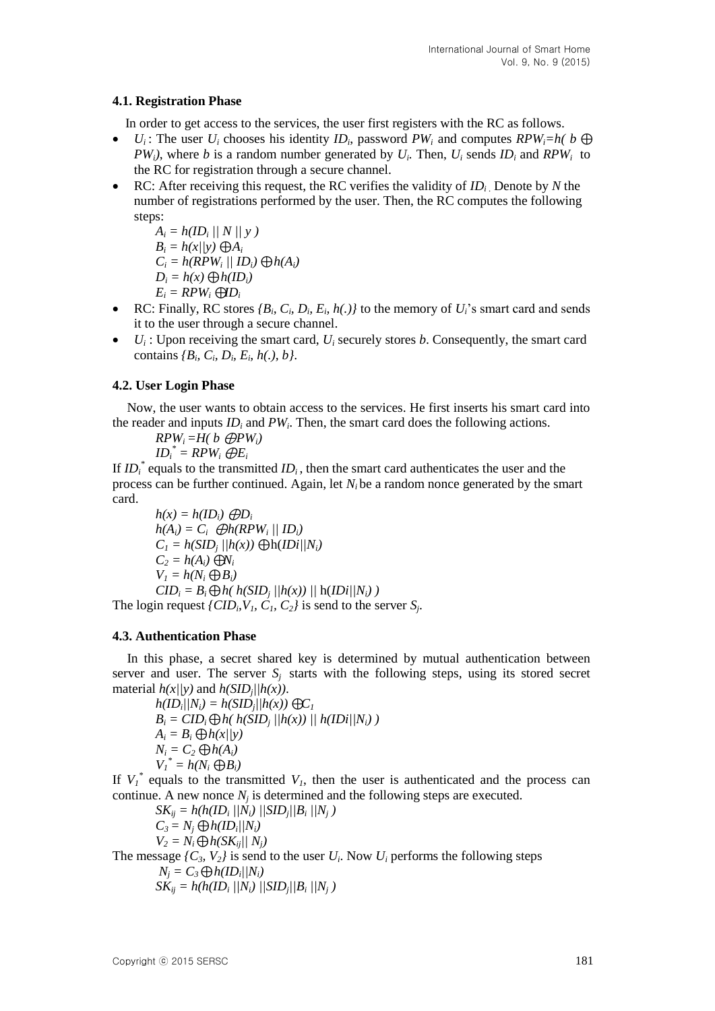## **4.1. Registration Phase**

In order to get access to the services, the user first registers with the RC as follows.

- $\bullet$  *U<sub>i</sub>*: The user *U<sub>i</sub>* chooses his identity *ID*<sub>*i*</sub>, password *PW*<sub>*i*</sub> and computes *RPW*<sub>*i*</sub>=*h*(*b*  $\oplus$ *PW*<sub>i</sub><sup>*)*</sup>, where *b* is a random number generated by  $U_i$ . Then,  $U_i$  sends  $ID_i$  and  $RPW_i$  to the RC for registration through a secure channel.
- RC: After receiving this request, the RC verifies the validity of *ID<sup>i</sup>* . Denote by *N* the number of registrations performed by the user. Then, the RC computes the following steps:

$$
A_i = h(ID_i \, || \, N \, || \, y \,)
$$

$$
B_i = h(x/|y) \bigoplus A_i
$$

$$
C_i = h(RPW_i \mid \mid ID_i) \bigoplus h(A_i)
$$

$$
D_i = h(x) \bigoplus h(ID_i)
$$

$$
E_i = RPW_i \bigoplus D_i
$$

- RC: Finally, RC stores  $\{B_i, C_i, D_i, E_i, h(.)\}$  to the memory of  $U_i$ 's smart card and sends it to the user through a secure channel.
- $\bullet$   $U_i$ : Upon receiving the smart card,  $U_i$  securely stores *b*. Consequently, the smart card contains  ${B_i, C_i, D_i, E_i, h(.), b}.$

## **4.2. User Login Phase**

Now, the user wants to obtain access to the services. He first inserts his smart card into the reader and inputs *ID<sup>i</sup>* and *PW<sup>i</sup>* . Then, the smart card does the following actions.

$$
RPW_i = H(b \text{ } \bigoplus PW_i)
$$
  

$$
ID_i^* = RPW_i \text{ } \bigoplus E_i
$$

If  $ID_i^*$  equals to the transmitted  $ID_i$ , then the smart card authenticates the user and the process can be further continued. Again, let  $N_i$  be a random nonce generated by the smart card.

 $h(x) = h(ID_i) \bigoplus D_i$  $h(A_i) = C_i$   $\bigoplus h(RPW_i \mid \bigwedge ID_i)$  $C_1 = h(SID_j / |h(x)) \bigoplus h(ID| / N_i)$  $C_2 = h(A_i)$  ⊕*N<sub>i</sub>*  $V_i = h(N_i \bigoplus B_i)$  $CID_i = B_i \bigoplus h(h(SID_j)/h(x)) / h(IDi/N_i)$ 

The login request  $\{CID_i, V_1, C_1, C_2\}$  is send to the server  $S_i$ .

### **4.3. Authentication Phase**

In this phase, a secret shared key is determined by mutual authentication between server and user. The server  $S_i$  starts with the following steps, using its stored secret material  $h(x|/y)$  and  $h(SID_j|/h(x))$ .

 $h(ID_i|/N_i) = h(SID_j|/h(x)) \bigoplus C_I$  $B_i = CID_i \bigoplus h(\ h(SID_j \vert/h(x)) \vert / h(ID_i \vert/h(j))$  $A_i = B_i \bigoplus h(x|/y)$  $N_i = C_2 \bigoplus h(A_i)$  $V_I^* = h(N_i \bigoplus B_i)$ 

If  $V_I^*$  equals to the transmitted  $V_I$ , then the user is authenticated and the process can continue. A new nonce  $N_j$  is determined and the following steps are executed.

$$
SK_{ij} = h(h(ID_i / |N_i) / |SID_j / |B_i / |N_j)
$$
  
\n
$$
C_3 = N_j \bigoplus h(ID_i / |N_i)
$$
  
\n
$$
V_2 = N_i \bigoplus h(SK_{ij} / |N_j)
$$
  
\nThe message {*C<sub>3</sub>*, *V<sub>2</sub>*} is send to the user *U<sub>i</sub>*. Now *U<sub>i</sub>* performs the following steps  
\n
$$
N_j = C_3 \bigoplus h(ID_i / |N_i)
$$
  
\n
$$
SK_{ij} = h(h(ID_i / |N_i) / |SID_j / |B_i / |N_j)
$$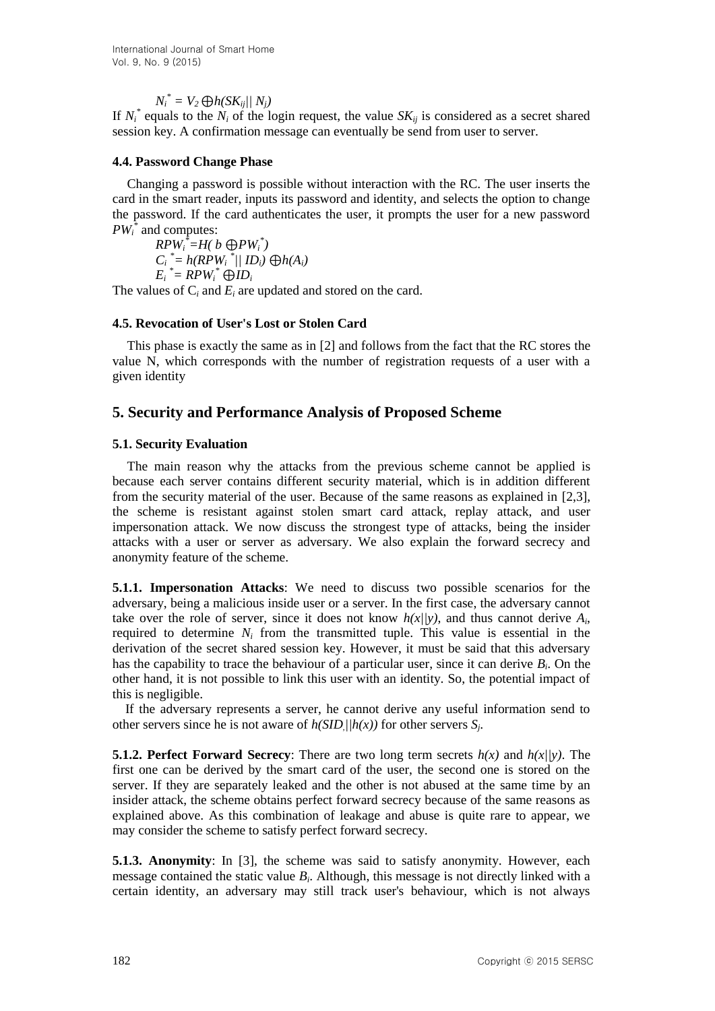$N_i^* = V_2 \bigoplus h(SK_{ij}/N_i)$ 

If  $N_i^*$  equals to the  $N_i$  of the login request, the value  $SK_{ij}$  is considered as a secret shared session key. A confirmation message can eventually be send from user to server.

### **4.4. Password Change Phase**

Changing a password is possible without interaction with the RC. The user inserts the card in the smart reader, inputs its password and identity, and selects the option to change the password. If the card authenticates the user, it prompts the user for a new password *PW<sup>i</sup> \** and computes:

 $RPW_i^* = H(b \oplus PW_i^*)$  $C_i$ <sup>\*</sup>=  $h(RPW_i$ <sup>\*</sup>// **ID**<sub>*i*</sub>)  $\bigoplus h(A_i)$  $E_i$ <sup>\*</sup> = RPW<sup>\*</sup>  $\bigoplus$ *ID*<sup>*i*</sup>

The values of C*<sup>i</sup>* and *E<sup>i</sup>* are updated and stored on the card.

## **4.5. Revocation of User's Lost or Stolen Card**

This phase is exactly the same as in [2] and follows from the fact that the RC stores the value N, which corresponds with the number of registration requests of a user with a given identity

# **5. Security and Performance Analysis of Proposed Scheme**

## **5.1. Security Evaluation**

The main reason why the attacks from the previous scheme cannot be applied is because each server contains different security material, which is in addition different from the security material of the user. Because of the same reasons as explained in [2,3], the scheme is resistant against stolen smart card attack, replay attack, and user impersonation attack. We now discuss the strongest type of attacks, being the insider attacks with a user or server as adversary. We also explain the forward secrecy and anonymity feature of the scheme.

**5.1.1. Impersonation Attacks**: We need to discuss two possible scenarios for the adversary, being a malicious inside user or a server. In the first case, the adversary cannot take over the role of server, since it does not know  $h(x|y)$ , and thus cannot derive  $A_i$ , required to determine  $N_i$  from the transmitted tuple. This value is essential in the derivation of the secret shared session key. However, it must be said that this adversary has the capability to trace the behaviour of a particular user, since it can derive *B<sup>i</sup>* . On the other hand, it is not possible to link this user with an identity. So, the potential impact of this is negligible.

If the adversary represents a server, he cannot derive any useful information send to other servers since he is not aware of  $h(SID)/h(x)$  for other servers  $S_j$ .

**5.1.2. Perfect Forward Secrecy**: There are two long term secrets  $h(x)$  and  $h(x)/y$ . The first one can be derived by the smart card of the user, the second one is stored on the server. If they are separately leaked and the other is not abused at the same time by an insider attack, the scheme obtains perfect forward secrecy because of the same reasons as explained above. As this combination of leakage and abuse is quite rare to appear, we may consider the scheme to satisfy perfect forward secrecy.

**5.1.3. Anonymity**: In [3], the scheme was said to satisfy anonymity. However, each message contained the static value *B<sup>i</sup>* . Although, this message is not directly linked with a certain identity, an adversary may still track user's behaviour, which is not always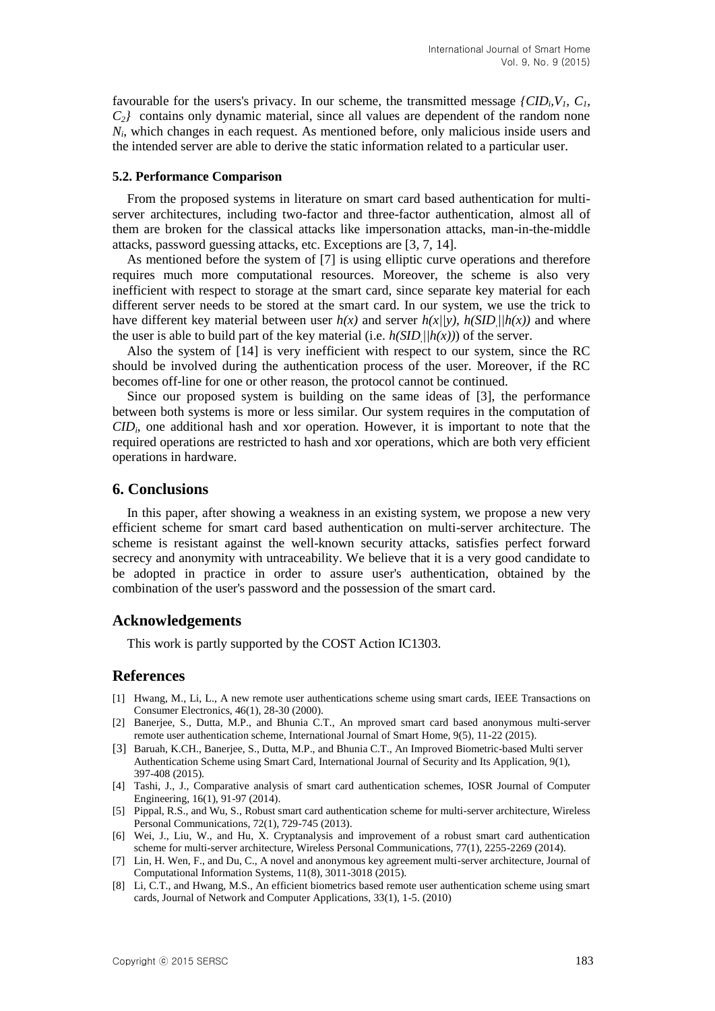favourable for the users's privacy. In our scheme, the transmitted message  $\{CID_i, V_i, C_i,$ *C2}* contains only dynamic material, since all values are dependent of the random none *Ni* , which changes in each request. As mentioned before, only malicious inside users and the intended server are able to derive the static information related to a particular user.

#### **5.2. Performance Comparison**

From the proposed systems in literature on smart card based authentication for multiserver architectures, including two-factor and three-factor authentication, almost all of them are broken for the classical attacks like impersonation attacks, man-in-the-middle attacks, password guessing attacks, etc. Exceptions are [3, 7, 14].

As mentioned before the system of [7] is using elliptic curve operations and therefore requires much more computational resources. Moreover, the scheme is also very inefficient with respect to storage at the smart card, since separate key material for each different server needs to be stored at the smart card. In our system, we use the trick to have different key material between user  $h(x)$  and server  $h(x|y)$ ,  $h(SID)|/h(x)$  and where the user is able to build part of the key material (i.e.  $h(SID)/h(x)$ ) of the server.

Also the system of [14] is very inefficient with respect to our system, since the RC should be involved during the authentication process of the user. Moreover, if the RC becomes off-line for one or other reason, the protocol cannot be continued.

Since our proposed system is building on the same ideas of [3], the performance between both systems is more or less similar. Our system requires in the computation of *CID<sup>i</sup>* , one additional hash and xor operation. However, it is important to note that the required operations are restricted to hash and xor operations, which are both very efficient operations in hardware.

#### **6. Conclusions**

In this paper, after showing a weakness in an existing system, we propose a new very efficient scheme for smart card based authentication on multi-server architecture. The scheme is resistant against the well-known security attacks, satisfies perfect forward secrecy and anonymity with untraceability. We believe that it is a very good candidate to be adopted in practice in order to assure user's authentication, obtained by the combination of the user's password and the possession of the smart card.

### **Acknowledgements**

This work is partly supported by the COST Action IC1303.

### **References**

- [1] Hwang, M., Li, L., A new remote user authentications scheme using smart cards, IEEE Transactions on Consumer Electronics, 46(1), 28-30 (2000).
- [2] Banerjee, S., Dutta, M.P., and Bhunia C.T., An mproved smart card based anonymous multi-server remote user authentication scheme, International Journal of Smart Home, 9(5), 11-22 (2015).
- [3] Baruah, K.CH., Banerjee, S., Dutta, M.P., and Bhunia C.T., An Improved Biometric-based Multi server Authentication Scheme using Smart Card, International Journal of Security and Its Application, 9(1), 397-408 (2015).
- [4] Tashi, J., J., Comparative analysis of smart card authentication schemes, IOSR Journal of Computer Engineering, 16(1), 91-97 (2014).
- [5] Pippal, R.S., and Wu, S., Robust smart card authentication scheme for multi-server architecture, Wireless Personal Communications, 72(1), 729-745 (2013).
- [6] Wei, J., Liu, W., and Hu, X. Cryptanalysis and improvement of a robust smart card authentication scheme for multi-server architecture, Wireless Personal Communications, 77(1), 2255-2269 (2014).
- [7] Lin, H. Wen, F., and Du, C., A novel and anonymous key agreement multi-server architecture, Journal of Computational Information Systems, 11(8), 3011-3018 (2015).
- [8] Li, C.T., and Hwang, M.S., An efficient biometrics based remote user authentication scheme using smart cards, Journal of Network and Computer Applications, 33(1), 1-5. (2010)